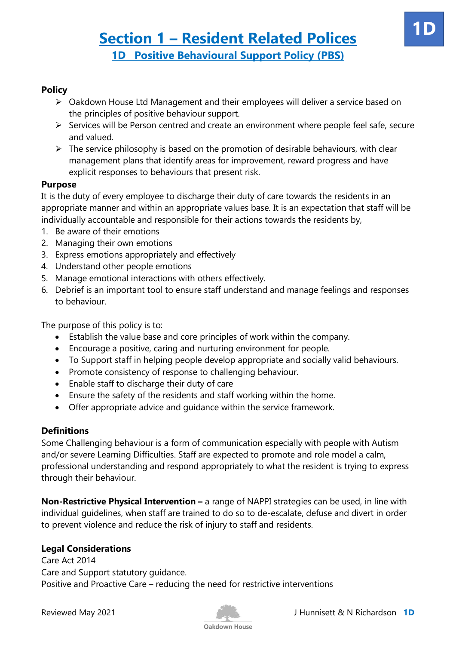#### **Policy**

- Oakdown House Ltd Management and their employees will deliver a service based on the principles of positive behaviour support.
- $\triangleright$  Services will be Person centred and create an environment where people feel safe, secure and valued.
- $\triangleright$  The service philosophy is based on the promotion of desirable behaviours, with clear management plans that identify areas for improvement, reward progress and have explicit responses to behaviours that present risk.

#### **Purpose**

It is the duty of every employee to discharge their duty of care towards the residents in an appropriate manner and within an appropriate values base. It is an expectation that staff will be individually accountable and responsible for their actions towards the residents by,

- 1. Be aware of their emotions
- 2. Managing their own emotions
- 3. Express emotions appropriately and effectively
- 4. Understand other people emotions
- 5. Manage emotional interactions with others effectively.
- 6. Debrief is an important tool to ensure staff understand and manage feelings and responses to behaviour.

The purpose of this policy is to:

- Establish the value base and core principles of work within the company.
- Encourage a positive, caring and nurturing environment for people.
- To Support staff in helping people develop appropriate and socially valid behaviours.
- Promote consistency of response to challenging behaviour.
- Enable staff to discharge their duty of care
- Ensure the safety of the residents and staff working within the home.
- Offer appropriate advice and guidance within the service framework.

#### **Definitions**

Some Challenging behaviour is a form of communication especially with people with Autism and/or severe Learning Difficulties. Staff are expected to promote and role model a calm, professional understanding and respond appropriately to what the resident is trying to express through their behaviour.

**Non-Restrictive Physical Intervention –** a range of NAPPI strategies can be used, in line with individual guidelines, when staff are trained to do so to de-escalate, defuse and divert in order to prevent violence and reduce the risk of injury to staff and residents.

### **Legal Considerations**

Care Act 2014 Care and Support statutory guidance. Positive and Proactive Care – reducing the need for restrictive interventions

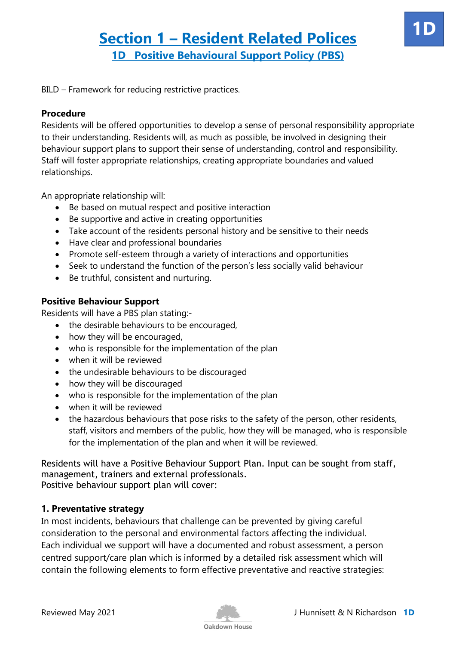BILD – Framework for reducing restrictive practices.

#### **Procedure**

Residents will be offered opportunities to develop a sense of personal responsibility appropriate to their understanding. Residents will, as much as possible, be involved in designing their behaviour support plans to support their sense of understanding, control and responsibility. Staff will foster appropriate relationships, creating appropriate boundaries and valued relationships.

An appropriate relationship will:

- Be based on mutual respect and positive interaction
- Be supportive and active in creating opportunities
- Take account of the residents personal history and be sensitive to their needs
- Have clear and professional boundaries
- Promote self-esteem through a variety of interactions and opportunities
- Seek to understand the function of the person's less socially valid behaviour
- Be truthful, consistent and nurturing.

#### **Positive Behaviour Support**

Residents will have a PBS plan stating:-

- the desirable behaviours to be encouraged,
- how they will be encouraged,
- who is responsible for the implementation of the plan
- when it will be reviewed
- the undesirable behaviours to be discouraged
- how they will be discouraged
- who is responsible for the implementation of the plan
- when it will be reviewed
- the hazardous behaviours that pose risks to the safety of the person, other residents, staff, visitors and members of the public, how they will be managed, who is responsible for the implementation of the plan and when it will be reviewed.

Residents will have a Positive Behaviour Support Plan. Input can be sought from staff, management, trainers and external professionals. Positive behaviour support plan will cover:

#### **1. Preventative strategy**

In most incidents, behaviours that challenge can be prevented by giving careful consideration to the personal and environmental factors affecting the individual. Each individual we support will have a documented and robust assessment, a person centred support/care plan which is informed by a detailed risk assessment which will contain the following elements to form effective preventative and reactive strategies:



**1D**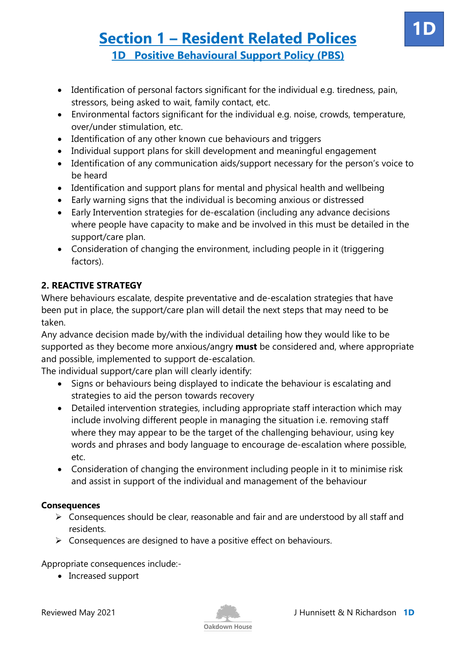- Identification of personal factors significant for the individual e.g. tiredness, pain, stressors, being asked to wait, family contact, etc.
- Environmental factors significant for the individual e.g. noise, crowds, temperature, over/under stimulation, etc.
- Identification of any other known cue behaviours and triggers
- Individual support plans for skill development and meaningful engagement
- Identification of any communication aids/support necessary for the person's voice to be heard
- Identification and support plans for mental and physical health and wellbeing
- Early warning signs that the individual is becoming anxious or distressed
- Early Intervention strategies for de-escalation (including any advance decisions where people have capacity to make and be involved in this must be detailed in the support/care plan.
- Consideration of changing the environment, including people in it (triggering factors).

### **2. REACTIVE STRATEGY**

Where behaviours escalate, despite preventative and de-escalation strategies that have been put in place, the support/care plan will detail the next steps that may need to be taken.

Any advance decision made by/with the individual detailing how they would like to be supported as they become more anxious/angry **must** be considered and, where appropriate and possible, implemented to support de-escalation.

The individual support/care plan will clearly identify:

- Signs or behaviours being displayed to indicate the behaviour is escalating and strategies to aid the person towards recovery
- Detailed intervention strategies, including appropriate staff interaction which may include involving different people in managing the situation i.e. removing staff where they may appear to be the target of the challenging behaviour, using key words and phrases and body language to encourage de-escalation where possible, etc.
- Consideration of changing the environment including people in it to minimise risk and assist in support of the individual and management of the behaviour

### **Consequences**

- $\triangleright$  Consequences should be clear, reasonable and fair and are understood by all staff and residents.
- $\triangleright$  Consequences are designed to have a positive effect on behaviours.

Appropriate consequences include:-

• Increased support

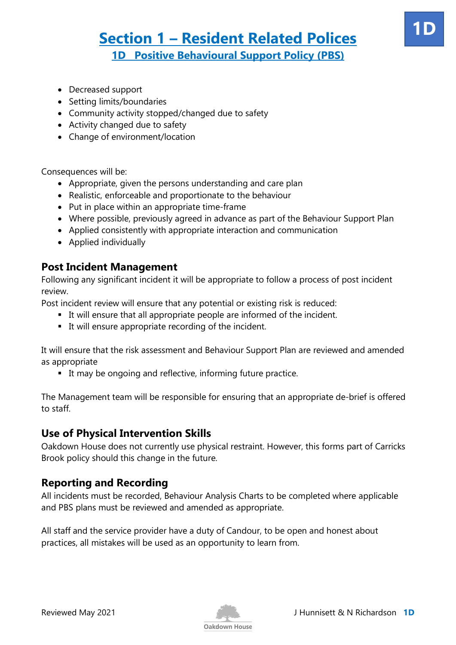- Decreased support
- Setting limits/boundaries
- Community activity stopped/changed due to safety
- Activity changed due to safety
- Change of environment/location

Consequences will be:

- Appropriate, given the persons understanding and care plan
- Realistic, enforceable and proportionate to the behaviour
- Put in place within an appropriate time-frame
- Where possible, previously agreed in advance as part of the Behaviour Support Plan
- Applied consistently with appropriate interaction and communication
- Applied individually

### **Post Incident Management**

Following any significant incident it will be appropriate to follow a process of post incident review.

Post incident review will ensure that any potential or existing risk is reduced:

- It will ensure that all appropriate people are informed of the incident.
- It will ensure appropriate recording of the incident.

It will ensure that the risk assessment and Behaviour Support Plan are reviewed and amended as appropriate

■ It may be ongoing and reflective, informing future practice.

The Management team will be responsible for ensuring that an appropriate de-brief is offered to staff.

## **Use of Physical Intervention Skills**

Oakdown House does not currently use physical restraint. However, this forms part of Carricks Brook policy should this change in the future.

## **Reporting and Recording**

All incidents must be recorded, Behaviour Analysis Charts to be completed where applicable and PBS plans must be reviewed and amended as appropriate.

All staff and the service provider have a duty of Candour, to be open and honest about practices, all mistakes will be used as an opportunity to learn from.



**1D**